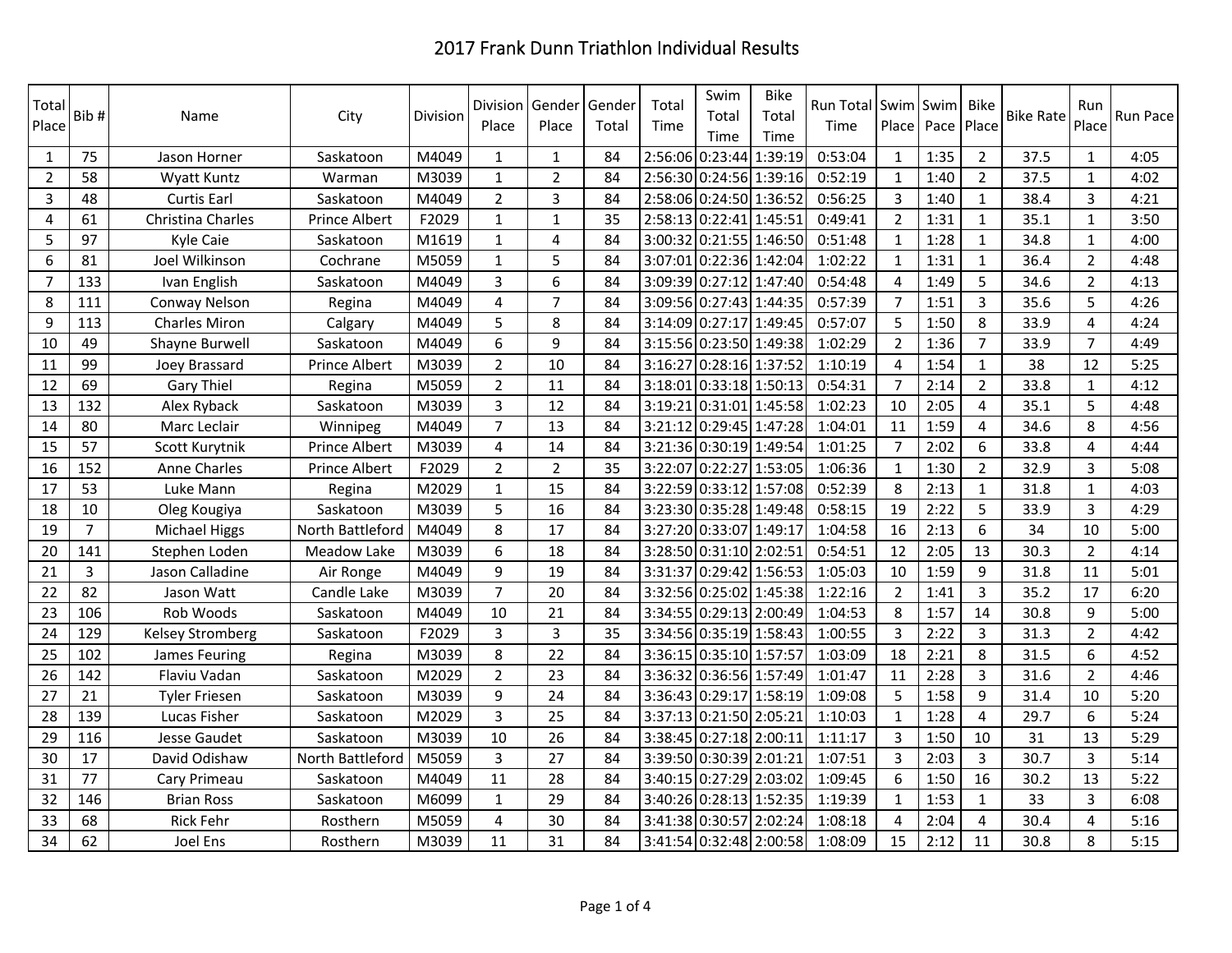| Total<br>Place | Bib#           | Name                    | City                 | Division | Division<br>Place | Gender<br>Place | Gender<br>Total | Total<br>Time | Swim<br>Total<br>Time   | <b>Bike</b><br>Total<br>Time | Run Total Swim Swim<br>Time |                | Place Pace | Bike<br>Place  | <b>Bike Rate</b> | Run<br>Place   | Run Pace |
|----------------|----------------|-------------------------|----------------------|----------|-------------------|-----------------|-----------------|---------------|-------------------------|------------------------------|-----------------------------|----------------|------------|----------------|------------------|----------------|----------|
| 1              | 75             | Jason Horner            | Saskatoon            | M4049    | 1                 | 1               | 84              | 2:56:06       | 0:23:44 1:39:19         |                              | 0:53:04                     | $\mathbf{1}$   | 1:35       | $\overline{2}$ | 37.5             | $\mathbf{1}$   | 4:05     |
| $\overline{2}$ | 58             | Wyatt Kuntz             | Warman               | M3039    | 1                 | $\mathbf{2}$    | 84              |               | 2:56:30 0:24:56 1:39:16 |                              | 0:52:19                     | $\mathbf{1}$   | 1:40       | $\overline{2}$ | 37.5             | $\mathbf{1}$   | 4:02     |
| $\overline{3}$ | 48             | <b>Curtis Earl</b>      | Saskatoon            | M4049    | $\overline{2}$    | 3               | 84              |               | 2:58:06 0:24:50 1:36:52 |                              | 0:56:25                     | $\overline{3}$ | 1:40       | $\mathbf{1}$   | 38.4             | $\overline{3}$ | 4:21     |
| $\overline{4}$ | 61             | Christina Charles       | Prince Albert        | F2029    | $\mathbf{1}$      | $\mathbf 1$     | 35              |               | 2:58:13 0:22:41 1:45:51 |                              | 0:49:41                     | $\overline{2}$ | 1:31       | $\mathbf{1}$   | 35.1             | $\mathbf{1}$   | 3:50     |
| 5              | 97             | Kyle Caie               | Saskatoon            | M1619    | 1                 | $\overline{4}$  | 84              |               | 3:00:32 0:21:55 1:46:50 |                              | 0:51:48                     | $\mathbf{1}$   | 1:28       | $\mathbf{1}$   | 34.8             | $\mathbf{1}$   | 4:00     |
| $\sqrt{6}$     | 81             | Joel Wilkinson          | Cochrane             | M5059    | $\mathbf{1}$      | 5               | 84              |               | 3:07:01 0:22:36 1:42:04 |                              | 1:02:22                     | $\mathbf{1}$   | 1:31       | $\mathbf{1}$   | 36.4             | $\overline{2}$ | 4:48     |
| $\overline{7}$ | 133            | Ivan English            | Saskatoon            | M4049    | 3                 | 6               | 84              |               | 3:09:39 0:27:12 1:47:40 |                              | 0:54:48                     | $\overline{4}$ | 1:49       | 5              | 34.6             | $\overline{2}$ | 4:13     |
| 8              | 111            | Conway Nelson           | Regina               | M4049    | $\overline{4}$    | $\overline{7}$  | 84              |               | 3:09:56 0:27:43 1:44:35 |                              | 0:57:39                     | $\overline{7}$ | 1:51       | $\overline{3}$ | 35.6             | 5              | 4:26     |
| 9              | 113            | <b>Charles Miron</b>    | Calgary              | M4049    | 5                 | 8               | 84              |               | 3:14:09 0:27:17 1:49:45 |                              | 0:57:07                     | 5              | 1:50       | 8              | 33.9             | 4              | 4:24     |
| 10             | 49             | Shayne Burwell          | Saskatoon            | M4049    | 6                 | 9               | 84              |               | 3:15:56 0:23:50 1:49:38 |                              | 1:02:29                     | $\overline{2}$ | 1:36       | $\overline{7}$ | 33.9             | $\overline{7}$ | 4:49     |
| 11             | 99             | Joey Brassard           | <b>Prince Albert</b> | M3039    | $\overline{2}$    | 10              | 84              | 3:16:27       | 0:28:16 1:37:52         |                              | 1:10:19                     | $\overline{4}$ | 1:54       | $\mathbf{1}$   | 38               | 12             | 5:25     |
| 12             | 69             | Gary Thiel              | Regina               | M5059    | $\overline{2}$    | 11              | 84              | 3:18:01       | $0:33:18$ 1:50:13       |                              | 0:54:31                     | $\overline{7}$ | 2:14       | $\overline{2}$ | 33.8             | $\mathbf{1}$   | 4:12     |
| 13             | 132            | Alex Ryback             | Saskatoon            | M3039    | 3                 | 12              | 84              | 3:19:21       | 0:31:01 1:45:58         |                              | 1:02:23                     | 10             | 2:05       | 4              | 35.1             | 5              | 4:48     |
| 14             | 80             | Marc Leclair            | Winnipeg             | M4049    | $\overline{7}$    | 13              | 84              |               | 3:21:12 0:29:45 1:47:28 |                              | 1:04:01                     | 11             | 1:59       | 4              | 34.6             | 8              | 4:56     |
| 15             | 57             | Scott Kurytnik          | <b>Prince Albert</b> | M3039    | 4                 | 14              | 84              | 3:21:36       | 0:30:19 1:49:54         |                              | 1:01:25                     | $\overline{7}$ | 2:02       | 6              | 33.8             | 4              | 4:44     |
| 16             | 152            | Anne Charles            | Prince Albert        | F2029    | $\overline{2}$    | $\overline{2}$  | 35              | 3:22:07       | 0:22:27 1:53:05         |                              | 1:06:36                     | 1              | 1:30       | $\overline{2}$ | 32.9             | 3              | 5:08     |
| 17             | 53             | Luke Mann               | Regina               | M2029    | 1                 | 15              | 84              | 3:22:59       | 0:33:12 1:57:08         |                              | 0:52:39                     | 8              | 2:13       | $\mathbf{1}$   | 31.8             | $\mathbf{1}$   | 4:03     |
| 18             | 10             | Oleg Kougiya            | Saskatoon            | M3039    | 5                 | 16              | 84              |               | 3:23:30 0:35:28 1:49:48 |                              | 0:58:15                     | 19             | 2:22       | 5              | 33.9             | 3              | 4:29     |
| 19             | $\overline{7}$ | Michael Higgs           | North Battleford     | M4049    | 8                 | 17              | 84              | 3:27:20       | 0:33:07 1:49:17         |                              | 1:04:58                     | 16             | 2:13       | 6              | 34               | 10             | 5:00     |
| 20             | 141            | Stephen Loden           | Meadow Lake          | M3039    | 6                 | 18              | 84              | 3:28:50       | 0:31:10 2:02:51         |                              | 0:54:51                     | 12             | 2:05       | 13             | 30.3             | $\overline{2}$ | 4:14     |
| 21             | 3              | Jason Calladine         | Air Ronge            | M4049    | 9                 | 19              | 84              | 3:31:37       | 0:29:42 1:56:53         |                              | 1:05:03                     | 10             | 1:59       | 9              | 31.8             | 11             | 5:01     |
| 22             | 82             | Jason Watt              | Candle Lake          | M3039    | $\overline{7}$    | 20              | 84              | 3:32:56       | 0:25:02 1:45:38         |                              | 1:22:16                     | $\overline{2}$ | 1:41       | $\overline{3}$ | 35.2             | 17             | 6:20     |
| 23             | 106            | Rob Woods               | Saskatoon            | M4049    | 10                | 21              | 84              |               | 3:34:55 0:29:13 2:00:49 |                              | 1:04:53                     | 8              | 1:57       | 14             | 30.8             | 9              | 5:00     |
| 24             | 129            | <b>Kelsey Stromberg</b> | Saskatoon            | F2029    | 3                 | 3               | 35              |               | 3:34:56 0:35:19 1:58:43 |                              | 1:00:55                     | 3              | 2:22       | 3              | 31.3             | $\overline{2}$ | 4:42     |
| 25             | 102            | James Feuring           | Regina               | M3039    | 8                 | 22              | 84              |               | 3:36:15 0:35:10 1:57:57 |                              | 1:03:09                     | 18             | 2:21       | 8              | 31.5             | 6              | 4:52     |
| 26             | 142            | Flaviu Vadan            | Saskatoon            | M2029    | $\overline{2}$    | 23              | 84              | 3:36:32       | 0:36:56 1:57:49         |                              | 1:01:47                     | 11             | 2:28       | 3              | 31.6             | $\overline{2}$ | 4:46     |
| 27             | 21             | <b>Tyler Friesen</b>    | Saskatoon            | M3039    | 9                 | 24              | 84              |               | 3:36:43 0:29:17 1:58:19 |                              | 1:09:08                     | 5              | 1:58       | 9              | 31.4             | 10             | 5:20     |
| 28             | 139            | Lucas Fisher            | Saskatoon            | M2029    | 3                 | 25              | 84              | 3:37:13       | 0:21:50 2:05:21         |                              | 1:10:03                     | $\mathbf{1}$   | 1:28       | 4              | 29.7             | 6              | 5:24     |
| 29             | 116            | Jesse Gaudet            | Saskatoon            | M3039    | 10                | 26              | 84              |               | 3:38:45 0:27:18 2:00:11 |                              | 1:11:17                     | 3              | 1:50       | 10             | 31               | 13             | 5:29     |
| 30             | 17             | David Odishaw           | North Battleford     | M5059    | $\overline{3}$    | 27              | 84              |               | 3:39:50 0:30:39 2:01:21 |                              | 1:07:51                     | $\overline{3}$ | 2:03       | $\overline{3}$ | 30.7             | $\overline{3}$ | 5:14     |
| 31             | 77             | Cary Primeau            | Saskatoon            | M4049    | 11                | 28              | 84              | 3:40:15       | 0:27:29 2:03:02         |                              | 1:09:45                     | 6              | 1:50       | 16             | 30.2             | 13             | 5:22     |
| 32             | 146            | <b>Brian Ross</b>       | Saskatoon            | M6099    | $\mathbf{1}$      | 29              | 84              |               | 3:40:26 0:28:13 1:52:35 |                              | 1:19:39                     | $\mathbf{1}$   | 1:53       | $\mathbf{1}$   | 33               | 3              | 6:08     |
| 33             | 68             | <b>Rick Fehr</b>        | Rosthern             | M5059    | 4                 | 30              | 84              |               | 3:41:38 0:30:57 2:02:24 |                              | 1:08:18                     | $\overline{4}$ | 2:04       | 4              | 30.4             | 4              | 5:16     |
| 34             | 62             | Joel Ens                | Rosthern             | M3039    | 11                | 31              | 84              |               | 3:41:54 0:32:48 2:00:58 |                              | 1:08:09                     | 15             | 2:12       | 11             | 30.8             | 8              | 5:15     |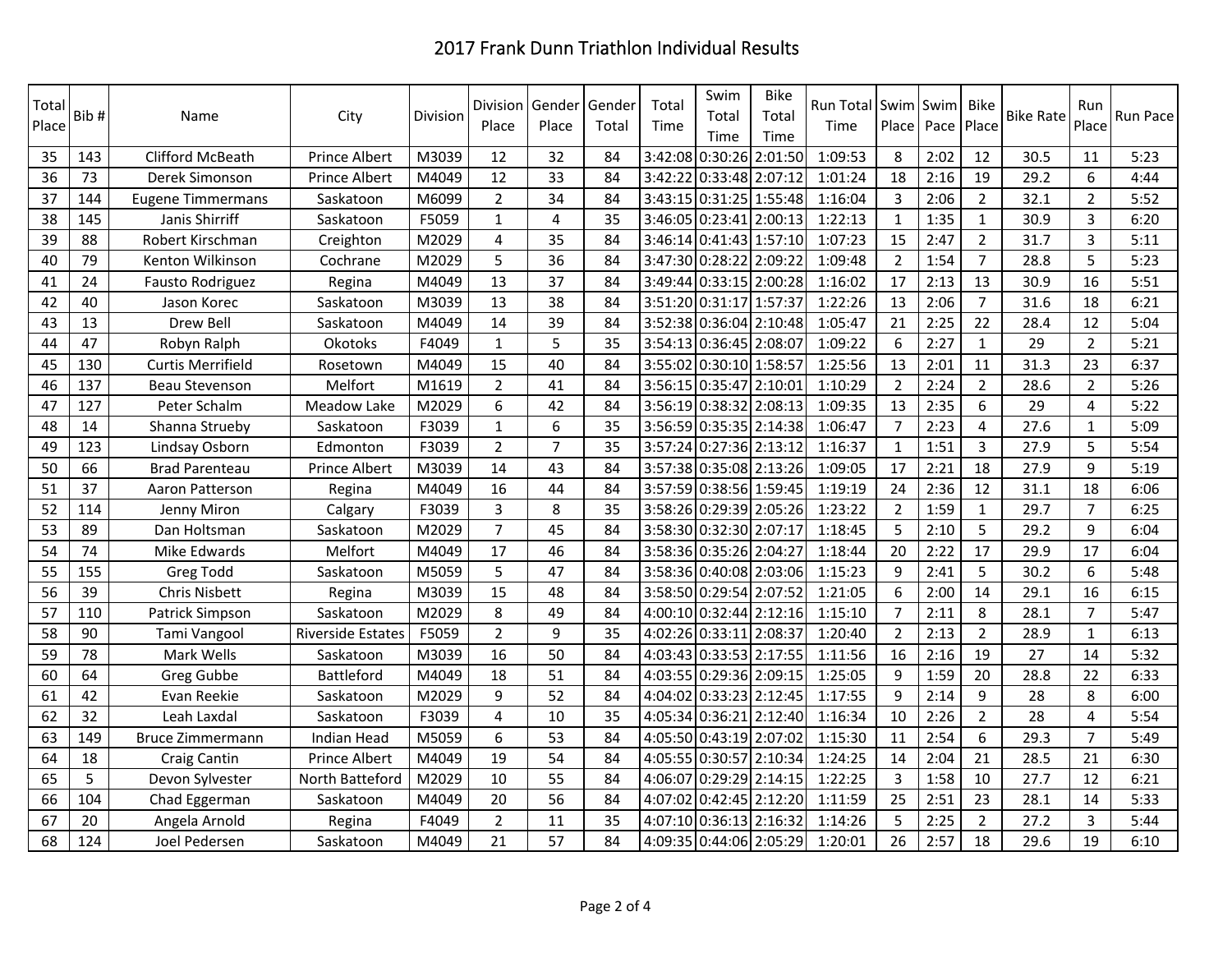| Total<br>Place | Bib# | Name                     | City                     | Division | <b>Division</b><br>Place | Gender<br>Place         | Gender<br>Total | Total<br>Time | Swim<br>Total<br>Time   | <b>Bike</b><br>Total<br>Time | Run Total Swim Swim<br>Time |                | Place Pace | Bike<br>Place  | <b>Bike Rate</b> | Run<br>Place   | Run Pace |
|----------------|------|--------------------------|--------------------------|----------|--------------------------|-------------------------|-----------------|---------------|-------------------------|------------------------------|-----------------------------|----------------|------------|----------------|------------------|----------------|----------|
| 35             | 143  | Clifford McBeath         | <b>Prince Albert</b>     | M3039    | 12                       | 32                      | 84              |               | 3:42:08 0:30:26 2:01:50 |                              | 1:09:53                     | 8              | 2:02       | 12             | 30.5             | 11             | 5:23     |
| 36             | 73   | Derek Simonson           | Prince Albert            | M4049    | 12                       | 33                      | 84              |               | 3:42:22 0:33:48 2:07:12 |                              | 1:01:24                     | 18             | 2:16       | 19             | 29.2             | 6              | 4:44     |
| 37             | 144  | Eugene Timmermans        | Saskatoon                | M6099    | $\overline{2}$           | 34                      | 84              |               | 3:43:15 0:31:25 1:55:48 |                              | 1:16:04                     | 3              | 2:06       | $\overline{2}$ | 32.1             | $\overline{2}$ | 5:52     |
| 38             | 145  | Janis Shirriff           | Saskatoon                | F5059    | $\mathbf 1$              | $\overline{\mathbf{4}}$ | 35              |               | 3:46:05 0:23:41 2:00:13 |                              | 1:22:13                     | $\mathbf{1}$   | 1:35       | $\mathbf{1}$   | 30.9             | $\overline{3}$ | 6:20     |
| 39             | 88   | Robert Kirschman         | Creighton                | M2029    | $\overline{4}$           | 35                      | 84              |               | 3:46:14 0:41:43 1:57:10 |                              | 1:07:23                     | 15             | 2:47       | $\overline{2}$ | 31.7             | $\overline{3}$ | 5:11     |
| 40             | 79   | Kenton Wilkinson         | Cochrane                 | M2029    | 5                        | 36                      | 84              |               | 3:47:30 0:28:22 2:09:22 |                              | 1:09:48                     | $\overline{2}$ | 1:54       | $\overline{7}$ | 28.8             | 5              | 5:23     |
| 41             | 24   | Fausto Rodriguez         | Regina                   | M4049    | 13                       | 37                      | 84              |               | 3:49:44 0:33:15 2:00:28 |                              | 1:16:02                     | 17             | 2:13       | 13             | 30.9             | 16             | 5:51     |
| 42             | 40   | Jason Korec              | Saskatoon                | M3039    | 13                       | 38                      | 84              |               | 3:51:20 0:31:17 1:57:37 |                              | 1:22:26                     | 13             | 2:06       | $\overline{7}$ | 31.6             | 18             | 6:21     |
| 43             | 13   | Drew Bell                | Saskatoon                | M4049    | 14                       | 39                      | 84              |               | 3:52:38 0:36:04 2:10:48 |                              | 1:05:47                     | 21             | 2:25       | 22             | 28.4             | 12             | 5:04     |
| 44             | 47   | Robyn Ralph              | Okotoks                  | F4049    | $\mathbf{1}$             | 5                       | 35              |               | 3:54:13 0:36:45 2:08:07 |                              | 1:09:22                     | 6              | 2:27       | $\mathbf{1}$   | 29               | $\overline{2}$ | 5:21     |
| 45             | 130  | <b>Curtis Merrifield</b> | Rosetown                 | M4049    | 15                       | 40                      | 84              |               | 3:55:02 0:30:10 1:58:57 |                              | 1:25:56                     | 13             | 2:01       | 11             | 31.3             | 23             | 6:37     |
| 46             | 137  | Beau Stevenson           | Melfort                  | M1619    | $\overline{2}$           | 41                      | 84              |               | 3:56:15 0:35:47 2:10:01 |                              | 1:10:29                     | $\overline{2}$ | 2:24       | $\overline{2}$ | 28.6             | $\overline{2}$ | 5:26     |
| 47             | 127  | Peter Schalm             | <b>Meadow Lake</b>       | M2029    | 6                        | 42                      | 84              |               | 3:56:19 0:38:32 2:08:13 |                              | 1:09:35                     | 13             | 2:35       | 6              | 29               | 4              | 5:22     |
| 48             | 14   | Shanna Strueby           | Saskatoon                | F3039    | $\mathbf{1}$             | 6                       | 35              |               | 3:56:59 0:35:35 2:14:38 |                              | 1:06:47                     | 7              | 2:23       | 4              | 27.6             | $\mathbf{1}$   | 5:09     |
| 49             | 123  | Lindsay Osborn           | Edmonton                 | F3039    | $\overline{2}$           | $\overline{7}$          | 35              |               | 3:57:24 0:27:36 2:13:12 |                              | 1:16:37                     | $\mathbf{1}$   | 1:51       | 3              | 27.9             | 5              | 5:54     |
| 50             | 66   | <b>Brad Parenteau</b>    | Prince Albert            | M3039    | 14                       | 43                      | 84              |               | 3:57:38 0:35:08 2:13:26 |                              | 1:09:05                     | 17             | 2:21       | 18             | 27.9             | 9              | 5:19     |
| 51             | 37   | Aaron Patterson          | Regina                   | M4049    | 16                       | 44                      | 84              |               | 3:57:59 0:38:56 1:59:45 |                              | 1:19:19                     | 24             | 2:36       | 12             | 31.1             | 18             | 6:06     |
| 52             | 114  | Jenny Miron              | Calgary                  | F3039    | $\overline{3}$           | 8                       | 35              |               | 3:58:26 0:29:39 2:05:26 |                              | 1:23:22                     | $\overline{2}$ | 1:59       | $\mathbf{1}$   | 29.7             | $\overline{7}$ | 6:25     |
| 53             | 89   | Dan Holtsman             | Saskatoon                | M2029    | $\overline{7}$           | 45                      | 84              |               | 3:58:30 0:32:30 2:07:17 |                              | 1:18:45                     | 5              | 2:10       | 5              | 29.2             | 9              | 6:04     |
| 54             | 74   | Mike Edwards             | Melfort                  | M4049    | 17                       | 46                      | 84              |               | 3:58:36 0:35:26 2:04:27 |                              | 1:18:44                     | 20             | 2:22       | 17             | 29.9             | 17             | 6:04     |
| 55             | 155  | <b>Greg Todd</b>         | Saskatoon                | M5059    | 5                        | 47                      | 84              |               | 3:58:36 0:40:08 2:03:06 |                              | 1:15:23                     | 9              | 2:41       | 5              | 30.2             | 6              | 5:48     |
| 56             | 39   | Chris Nisbett            | Regina                   | M3039    | 15                       | 48                      | 84              |               | 3:58:50 0:29:54 2:07:52 |                              | 1:21:05                     | 6              | 2:00       | 14             | 29.1             | 16             | 6:15     |
| 57             | 110  | Patrick Simpson          | Saskatoon                | M2029    | 8                        | 49                      | 84              |               | 4:00:10 0:32:44 2:12:16 |                              | 1:15:10                     | $\overline{7}$ | 2:11       | 8              | 28.1             | $\overline{7}$ | 5:47     |
| 58             | 90   | Tami Vangool             | <b>Riverside Estates</b> | F5059    | $\overline{2}$           | 9                       | 35              |               | 4:02:26 0:33:11 2:08:37 |                              | 1:20:40                     | $\overline{2}$ | 2:13       | $\overline{2}$ | 28.9             | $\mathbf{1}$   | 6:13     |
| 59             | 78   | Mark Wells               | Saskatoon                | M3039    | 16                       | 50                      | 84              |               | 4:03:43 0:33:53 2:17:55 |                              | 1:11:56                     | 16             | 2:16       | 19             | 27               | 14             | 5:32     |
| 60             | 64   | <b>Greg Gubbe</b>        | Battleford               | M4049    | 18                       | 51                      | 84              |               | 4:03:55 0:29:36 2:09:15 |                              | 1:25:05                     | 9              | 1:59       | 20             | 28.8             | 22             | 6:33     |
| 61             | 42   | Evan Reekie              | Saskatoon                | M2029    | 9                        | 52                      | 84              |               | 4:04:02 0:33:23 2:12:45 |                              | 1:17:55                     | 9              | 2:14       | 9              | 28               | 8              | 6:00     |
| 62             | 32   | Leah Laxdal              | Saskatoon                | F3039    | 4                        | 10                      | 35              |               | 4:05:34 0:36:21 2:12:40 |                              | 1:16:34                     | 10             | 2:26       | $\overline{2}$ | 28               | $\overline{4}$ | 5:54     |
| 63             | 149  | Bruce Zimmermann         | <b>Indian Head</b>       | M5059    | 6                        | 53                      | 84              |               | 4:05:50 0:43:19 2:07:02 |                              | 1:15:30                     | 11             | 2:54       | 6              | 29.3             | $\overline{7}$ | 5:49     |
| 64             | 18   | <b>Craig Cantin</b>      | Prince Albert            | M4049    | 19                       | 54                      | 84              |               | 4:05:55 0:30:57 2:10:34 |                              | 1:24:25                     | 14             | 2:04       | 21             | 28.5             | 21             | 6:30     |
| 65             | 5    | Devon Sylvester          | North Batteford          | M2029    | 10                       | 55                      | 84              |               | 4:06:07 0:29:29 2:14:15 |                              | 1:22:25                     | $\mathbf{3}$   | 1:58       | 10             | 27.7             | 12             | 6:21     |
| 66             | 104  | Chad Eggerman            | Saskatoon                | M4049    | 20                       | 56                      | 84              |               | 4:07:02 0:42:45 2:12:20 |                              | 1:11:59                     | 25             | 2:51       | 23             | 28.1             | 14             | 5:33     |
| 67             | 20   | Angela Arnold            | Regina                   | F4049    | $\overline{2}$           | 11                      | 35              |               | 4:07:10 0:36:13 2:16:32 |                              | 1:14:26                     | 5              | 2:25       | $\overline{2}$ | 27.2             | $\overline{3}$ | 5:44     |
| 68             | 124  | Joel Pedersen            | Saskatoon                | M4049    | 21                       | 57                      | 84              |               | 4:09:35 0:44:06 2:05:29 |                              | 1:20:01                     | 26             | 2:57       | 18             | 29.6             | 19             | 6:10     |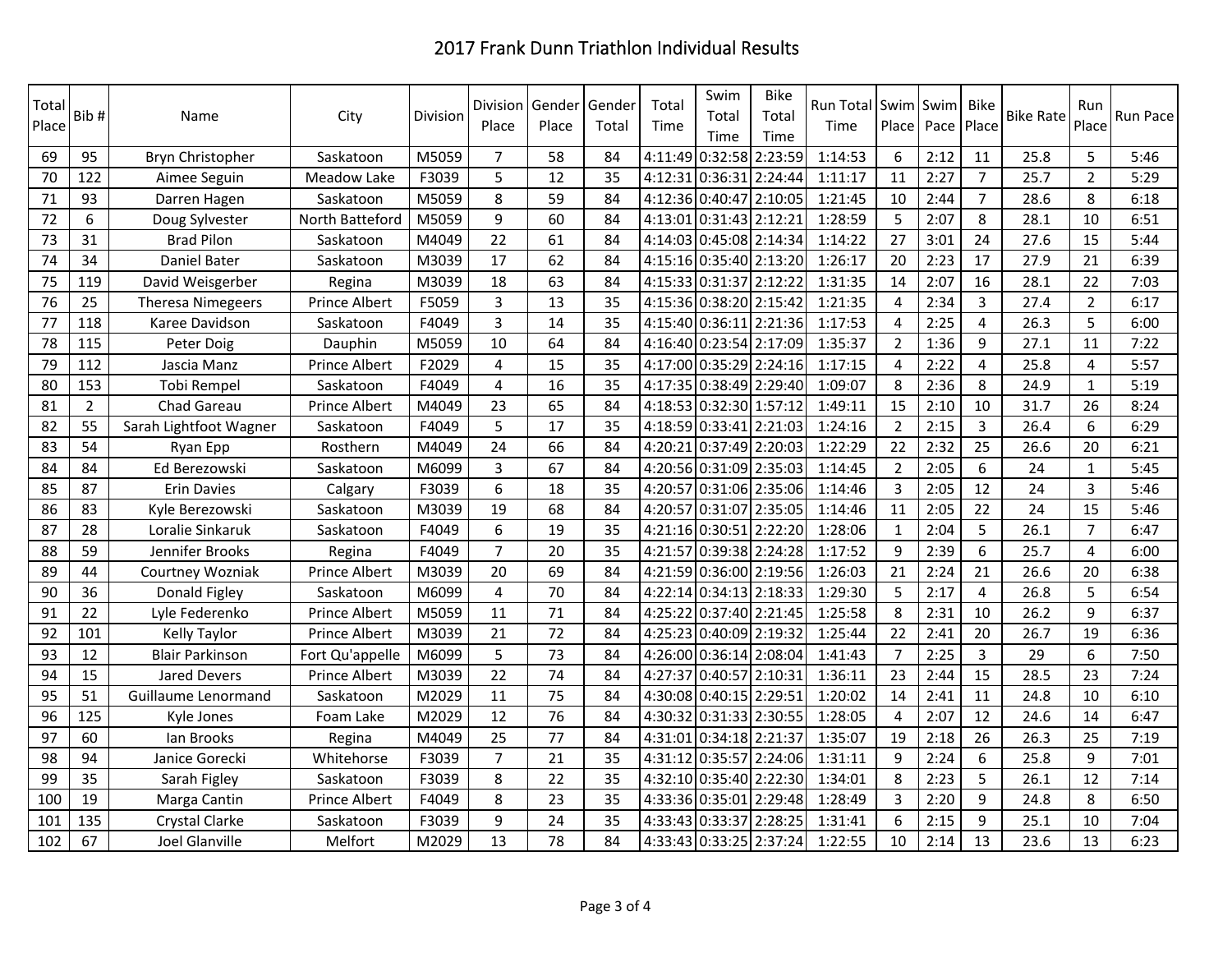| Total<br>Place | Bib#           | Name                   | City                 | Division | Division<br>Place | Gender<br>Place | Gender<br>Total | Total<br>Time | Swim<br>Total<br>Time   | <b>Bike</b><br>Total<br>Time | Run Total Swim<br>Time | Place          | Swim<br>Pace | <b>Bike</b><br>Place | <b>Bike Rate</b> | Run<br>Place   | Run Pace |
|----------------|----------------|------------------------|----------------------|----------|-------------------|-----------------|-----------------|---------------|-------------------------|------------------------------|------------------------|----------------|--------------|----------------------|------------------|----------------|----------|
| 69             | 95             | Bryn Christopher       | Saskatoon            | M5059    | $\overline{7}$    | 58              | 84              |               | 4:11:49 0:32:58 2:23:59 |                              | 1:14:53                | 6              | 2:12         | 11                   | 25.8             | 5              | 5:46     |
| 70             | 122            | Aimee Seguin           | Meadow Lake          | F3039    | 5                 | 12              | 35              |               | 4:12:31 0:36:31 2:24:44 |                              | 1:11:17                | 11             | 2:27         | $\overline{7}$       | 25.7             | $\overline{2}$ | 5:29     |
| 71             | 93             | Darren Hagen           | Saskatoon            | M5059    | 8                 | 59              | 84              |               | 4:12:36 0:40:47 2:10:05 |                              | 1:21:45                | 10             | 2:44         | $\overline{7}$       | 28.6             | 8              | 6:18     |
| 72             | 6              | Doug Sylvester         | North Batteford      | M5059    | 9                 | 60              | 84              |               | 4:13:01 0:31:43 2:12:21 |                              | 1:28:59                | 5              | 2:07         | 8                    | 28.1             | 10             | 6:51     |
| 73             | 31             | <b>Brad Pilon</b>      | Saskatoon            | M4049    | 22                | 61              | 84              |               | 4:14:03 0:45:08 2:14:34 |                              | 1:14:22                | 27             | 3:01         | 24                   | 27.6             | 15             | 5:44     |
| 74             | 34             | Daniel Bater           | Saskatoon            | M3039    | 17                | 62              | 84              |               | 4:15:16 0:35:40 2:13:20 |                              | 1:26:17                | 20             | 2:23         | 17                   | 27.9             | 21             | 6:39     |
| 75             | 119            | David Weisgerber       | Regina               | M3039    | 18                | 63              | 84              |               | 4:15:33 0:31:37 2:12:22 |                              | 1:31:35                | 14             | 2:07         | 16                   | 28.1             | 22             | 7:03     |
| 76             | 25             | Theresa Nimegeers      | Prince Albert        | F5059    | 3                 | 13              | 35              |               | 4:15:36 0:38:20 2:15:42 |                              | 1:21:35                | 4              | 2:34         | $\overline{3}$       | 27.4             | $\overline{2}$ | 6:17     |
| 77             | 118            | Karee Davidson         | Saskatoon            | F4049    | 3                 | 14              | 35              |               | 4:15:40 0:36:11 2:21:36 |                              | 1:17:53                | 4              | 2:25         | 4                    | 26.3             | 5              | 6:00     |
| 78             | 115            | Peter Doig             | Dauphin              | M5059    | 10                | 64              | 84              |               | 4:16:40 0:23:54 2:17:09 |                              | 1:35:37                | $\overline{2}$ | 1:36         | 9                    | 27.1             | 11             | 7:22     |
| 79             | 112            | Jascia Manz            | Prince Albert        | F2029    | 4                 | 15              | 35              |               | 4:17:00 0:35:29 2:24:16 |                              | 1:17:15                | $\overline{4}$ | 2:22         | 4                    | 25.8             | 4              | 5:57     |
| 80             | 153            | Tobi Rempel            | Saskatoon            | F4049    | 4                 | 16              | 35              |               | 4:17:35 0:38:49 2:29:40 |                              | 1:09:07                | 8              | 2:36         | 8                    | 24.9             | 1              | 5:19     |
| 81             | $\overline{2}$ | Chad Gareau            | Prince Albert        | M4049    | 23                | 65              | 84              |               | 4:18:53 0:32:30 1:57:12 |                              | 1:49:11                | 15             | 2:10         | 10                   | 31.7             | 26             | 8:24     |
| 82             | 55             | Sarah Lightfoot Wagner | Saskatoon            | F4049    | 5                 | 17              | 35              |               | 4:18:59 0:33:41 2:21:03 |                              | 1:24:16                | $\overline{2}$ | 2:15         | 3                    | 26.4             | 6              | 6:29     |
| 83             | 54             | Ryan Epp               | Rosthern             | M4049    | 24                | 66              | 84              |               | 4:20:21 0:37:49 2:20:03 |                              | 1:22:29                | 22             | 2:32         | 25                   | 26.6             | 20             | 6:21     |
| 84             | 84             | Ed Berezowski          | Saskatoon            | M6099    | 3                 | 67              | 84              |               | 4:20:56 0:31:09 2:35:03 |                              | 1:14:45                | $\overline{2}$ | 2:05         | 6                    | 24               | $\mathbf{1}$   | 5:45     |
| 85             | 87             | Erin Davies            | Calgary              | F3039    | 6                 | 18              | 35              |               | 4:20:57 0:31:06 2:35:06 |                              | 1:14:46                | 3              | 2:05         | 12                   | 24               | 3              | 5:46     |
| 86             | 83             | Kyle Berezowski        | Saskatoon            | M3039    | 19                | 68              | 84              |               | 4:20:57 0:31:07 2:35:05 |                              | 1:14:46                | 11             | 2:05         | 22                   | 24               | 15             | 5:46     |
| 87             | 28             | Loralie Sinkaruk       | Saskatoon            | F4049    | 6                 | 19              | 35              |               | 4:21:16 0:30:51 2:22:20 |                              | 1:28:06                | 1              | 2:04         | 5                    | 26.1             | $\overline{7}$ | 6:47     |
| 88             | 59             | Jennifer Brooks        | Regina               | F4049    | $\overline{7}$    | 20              | 35              | 4:21:57       | 0:39:38 2:24:28         |                              | 1:17:52                | $\mathsf{q}$   | 2:39         | 6                    | 25.7             | 4              | 6:00     |
| 89             | 44             | Courtney Wozniak       | <b>Prince Albert</b> | M3039    | 20                | 69              | 84              |               | 4:21:59 0:36:00 2:19:56 |                              | 1:26:03                | 21             | 2:24         | 21                   | 26.6             | 20             | 6:38     |
| 90             | 36             | Donald Figley          | Saskatoon            | M6099    | $\overline{4}$    | 70              | 84              | 4:22:14       | $0:34:13$ 2:18:33       |                              | 1:29:30                | 5              | 2:17         | $\overline{4}$       | 26.8             | 5              | 6:54     |
| 91             | 22             | Lyle Federenko         | <b>Prince Albert</b> | M5059    | 11                | 71              | 84              |               | 4:25:22 0:37:40 2:21:45 |                              | 1:25:58                | 8              | 2:31         | 10                   | 26.2             | $\mathsf{q}$   | 6:37     |
| 92             | 101            | Kelly Taylor           | <b>Prince Albert</b> | M3039    | 21                | 72              | 84              |               | 4:25:23 0:40:09 2:19:32 |                              | 1:25:44                | 22             | 2:41         | 20                   | 26.7             | 19             | 6:36     |
| 93             | 12             | <b>Blair Parkinson</b> | Fort Qu'appelle      | M6099    | 5                 | 73              | 84              |               | 4:26:00 0:36:14 2:08:04 |                              | 1:41:43                | $\overline{7}$ | 2:25         | $\overline{3}$       | 29               | 6              | 7:50     |
| 94             | 15             | Jared Devers           | Prince Albert        | M3039    | 22                | 74              | 84              |               | 4:27:37 0:40:57 2:10:31 |                              | 1:36:11                | 23             | 2:44         | 15                   | 28.5             | 23             | 7:24     |
| 95             | 51             | Guillaume Lenormand    | Saskatoon            | M2029    | 11                | 75              | 84              |               | 4:30:08 0:40:15 2:29:51 |                              | 1:20:02                | 14             | 2:41         | 11                   | 24.8             | 10             | 6:10     |
| 96             | 125            | Kyle Jones             | Foam Lake            | M2029    | 12                | 76              | 84              |               | 4:30:32 0:31:33 2:30:55 |                              | 1:28:05                | $\overline{4}$ | 2:07         | 12                   | 24.6             | 14             | 6:47     |
| 97             | 60             | Ian Brooks             | Regina               | M4049    | 25                | 77              | 84              | 4:31:01       | 0:34:18 2:21:37         |                              | 1:35:07                | 19             | 2:18         | 26                   | 26.3             | 25             | 7:19     |
| 98             | 94             | Janice Gorecki         | Whitehorse           | F3039    | $\overline{7}$    | 21              | 35              | 4:31:12       | 0:35:57 2:24:06         |                              | 1:31:11                | 9              | 2:24         | 6                    | 25.8             | 9              | 7:01     |
| 99             | 35             | Sarah Figley           | Saskatoon            | F3039    | 8                 | 22              | 35              |               | 4:32:10 0:35:40 2:22:30 |                              | 1:34:01                | 8              | 2:23         | 5                    | 26.1             | 12             | 7:14     |
| 100            | 19             | Marga Cantin           | Prince Albert        | F4049    | 8                 | 23              | 35              |               | 4:33:36 0:35:01 2:29:48 |                              | 1:28:49                | $\overline{3}$ | 2:20         | 9                    | 24.8             | 8              | 6:50     |
| 101            | 135            | <b>Crystal Clarke</b>  | Saskatoon            | F3039    | 9                 | 24              | 35              |               | 4:33:43 0:33:37 2:28:25 |                              | 1:31:41                | 6              | 2:15         | 9                    | 25.1             | 10             | 7:04     |
| 102            | 67             | Joel Glanville         | <b>Melfort</b>       | M2029    | 13                | 78              | 84              |               | 4:33:43 0:33:25 2:37:24 |                              | 1:22:55                | 10             | 2:14         | 13                   | 23.6             | 13             | 6:23     |